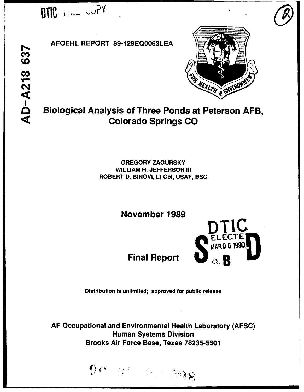$\boxed{\text{DTIC}}$ 

**AFOEHL** REPORT **89-129EQ0063LEA**



# **Biological Analysis of Three Ponds at Peterson AFB, Colorado Springs CO**

GREGORY ZAGURSKY WILLIAM H. **JEFFERSON III** ROBERT **D.** BINOVI, **Lt Col, USAF, BSC**

**November 1989**



Distribution is unlimited; approved for public release

**AF** Occupational and Environmental Health Laboratory **(AFSC)** Human Systems Division Brooks Air Force Base, Texas **78235-5501**

OO NE GEROO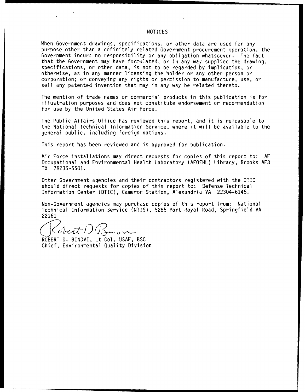#### NOTICES

When Government drawings, specifications, or other data are used for any purpose other than a definitely related Government procurement operation, the Government incurs no responsibility or any obligation whatsoever. The fact that the Government may have formulated, or in any way supplied the drawing, specifications, or other data, is not to be regarded by implication, or otherwise, as in any manner licensing the holder or any other person or corporation; or conveying any rights or permission to manufacture, use, or sell any patented invention that may in any way be related thereto.

The mention of trade names or commercial products in this publication is for illustration purposes and does not constitute endorsement or recommendation for use by the United States Air Force.

The Public Affairs Office has reviewed this report, and it is releasable to the National Technical Information Service, where it will be available to the general public, including foreign nations.

This report has been reviewed and is approved for publication.

Air Force installations may direct requests for copies of this report to: AF Occupational and Environmental Health Laboratory (AFOEHL) Library, Brooks AFB TX 78235-5501.

Other Government agencies and their contractors registered with the DTIC should direct requests for copies of this report to: Defense Technical Information Center (DTIC), Cameron Station, Alexandria VA 22304-6145.

Non-Government agencies may purchase copies of this report from: National Technical Information Service (NTIS), 5285 Port Royal Road, Springfield VA 22161

Cobert 1) Suon

ROBERT D. BINOVI, Lt Col, USAF, BSC Chief, Environmental Quality Division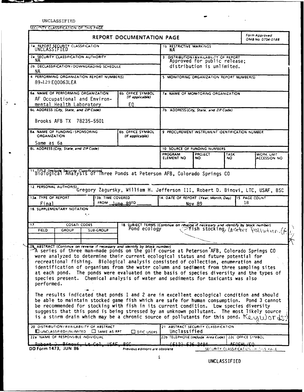UNCLASSIFIED

 $\ddot{\phantom{0}}$ 

| SECUPITY CLASSIFICATION OF THIS PAGE |  |  |
|--------------------------------------|--|--|
|                                      |  |  |

| <b>REPORT DOCUMENTATION PAGE</b>                                                                                                                                                                                                                                                                                                                                                                                                                                                                                                                                                                                                                   |                                                                                                   |                                                                        |                       | Form Approved<br>OMB No. 0704-0188                         |                                     |
|----------------------------------------------------------------------------------------------------------------------------------------------------------------------------------------------------------------------------------------------------------------------------------------------------------------------------------------------------------------------------------------------------------------------------------------------------------------------------------------------------------------------------------------------------------------------------------------------------------------------------------------------------|---------------------------------------------------------------------------------------------------|------------------------------------------------------------------------|-----------------------|------------------------------------------------------------|-------------------------------------|
| TA REPORT SECURITY CLASSIFICATION                                                                                                                                                                                                                                                                                                                                                                                                                                                                                                                                                                                                                  |                                                                                                   | <b>1b RESTRICTIVE MARKINGS</b><br>NΑ                                   |                       |                                                            |                                     |
| 2a. SECURITY CLASSIFICATION AUTHORITY<br>NА                                                                                                                                                                                                                                                                                                                                                                                                                                                                                                                                                                                                        |                                                                                                   | 3. DISTRIBUTION/AVAILABILITY OF REPORT<br>Approved for public release; |                       |                                                            |                                     |
| distribution is unlimited.<br>2b. DECLASSIFICATION / DOWNGRADING SCHEDULE<br>NА                                                                                                                                                                                                                                                                                                                                                                                                                                                                                                                                                                    |                                                                                                   |                                                                        |                       |                                                            |                                     |
| 4. PERFORMING ORGANIZATION REPORT NUMBER(S)<br>89-129 EQ0063LEA                                                                                                                                                                                                                                                                                                                                                                                                                                                                                                                                                                                    |                                                                                                   |                                                                        |                       | 5. MONITORING ORGANIZATION REPORT NUMBER(S)                |                                     |
| 6a. NAME OF PERFORMING ORGANIZATION<br>AF Occupational and Environ-<br>mental Health Laboratory                                                                                                                                                                                                                                                                                                                                                                                                                                                                                                                                                    | 6b. OFFICE SYMBOL<br>(If applicable)<br>EQ                                                        | 7a. NAME OF MONITORING ORGANIZATION                                    |                       |                                                            |                                     |
| 6c. ADDRESS (City, State, and ZIP Code)                                                                                                                                                                                                                                                                                                                                                                                                                                                                                                                                                                                                            |                                                                                                   | 7b. ADDRESS (City, State, and ZIP Code)                                |                       |                                                            |                                     |
| Brooks AFB TX 78235-5501                                                                                                                                                                                                                                                                                                                                                                                                                                                                                                                                                                                                                           |                                                                                                   |                                                                        |                       |                                                            |                                     |
| 8a. NAME OF FUNDING / SPONSORING<br><b>ORGANIZATION</b><br>Same as 6a                                                                                                                                                                                                                                                                                                                                                                                                                                                                                                                                                                              | 8b. OFFICE SYMBOL<br>(If applicable)                                                              |                                                                        |                       | 9 PROCUREMENT INSTRUMENT IDENTIFICATION NUMBER             |                                     |
| 8c. ADDRESS (City, State, and ZIP Code)                                                                                                                                                                                                                                                                                                                                                                                                                                                                                                                                                                                                            |                                                                                                   | 10 SOURCE OF FUNDING NUMBERS                                           |                       |                                                            |                                     |
|                                                                                                                                                                                                                                                                                                                                                                                                                                                                                                                                                                                                                                                    |                                                                                                   | PROGRAM<br><b>ELEMENT NO</b>                                           | <b>PROJECT</b><br>NO. | <b>TASK</b><br>NO.                                         | WORK UNIT<br><b>ACCESSION NO</b>    |
| 12. PERSONAL AUTHOR(S) Gregory Zagursky, William H. Jefferson III, Robert D. Binovi, LTC, USAF, BSC<br>13a. TYPE OF REPORT<br>13b. TIME COVERED<br>Final<br>16. SUPPLEMENTARY NOTATION<br>۰.,<br><b>COSATI CODES</b>                                                                                                                                                                                                                                                                                                                                                                                                                               | $FROM$ $\_\_\_\_\_\_\_\$ $RQTO$                                                                   | 14. DATE OF REPORT (Year, Month, Day) 115. PAGE COUNT                  | Nov 89                | 18                                                         |                                     |
| 17.<br><b>FIELD</b><br><b>GROUP</b><br><b>SUB-GROUP</b>                                                                                                                                                                                                                                                                                                                                                                                                                                                                                                                                                                                            | 18. SUBJECT TERMS (Continue on reverse if necessary and identify by block number)<br>Pond ecology |                                                                        |                       |                                                            | Stish stocking, Water Pollution (A) |
| 19, ABSTRACT (Continue on reverse if necessary and identify by block number)<br>The series of three man-made ponds on the golf course at Peterson AFB, Colorado Springs CO<br>were analyzed to determine their current ecological status and future potential for<br>recreational fishing. Biological analysis consisted of collection, enumeration and<br>identification of organisms from the water column and sediment from three sampling sites<br>at each pond. The ponds were evaluated on the basis of species diversity and the types of<br>species present. Chemical analysis of water and sediments for toxicants was also<br>performed. |                                                                                                   |                                                                        |                       |                                                            |                                     |
| The results indicated that ponds 1 and 2 are in excellent ecological condition and should<br>be able to maintain stocked game fish which are safe for human consumption. Pond 3 cannot<br>be recommended for stocking with fish in its current condition. Low species diversity<br>suggests that this pond is being stressed by an unknown pollutant. The most likely source<br>is a storm drain which may be a chronic source of pollutants for this pond. Keywords'                                                                                                                                                                              |                                                                                                   |                                                                        |                       |                                                            |                                     |
| 20 DISTRIBUTION / AVAILABILITY OF ABSTRACT<br>$\mathbb E$ UNCLASSIFIED/UNLIMITED $\Box$ SAME AS RPT.                                                                                                                                                                                                                                                                                                                                                                                                                                                                                                                                               | <b>QOTIC USERS</b>                                                                                | 21 ABSTRACT SECURITY CLASSIFICATION<br>Unclassified                    |                       |                                                            |                                     |
| 22a NAME OF RESPONSIBLE INDIVIDUAL                                                                                                                                                                                                                                                                                                                                                                                                                                                                                                                                                                                                                 |                                                                                                   | 22b TELEPHONE (Include Area Code) 22c OFFICE SYMBOL                    |                       |                                                            |                                     |
| $Dohont\_I = Binout\_I + CA$ , $ICAL = BCA$<br>DD Form 1473, JUN 86                                                                                                                                                                                                                                                                                                                                                                                                                                                                                                                                                                                | Previous editions are obsolete.                                                                   | $15121$ 526 2191                                                       |                       | <u>AEAEUL /FA.</u><br>SECURITY CLASSIFICATION OF THIS PAGE |                                     |

# UNCLASSIFIED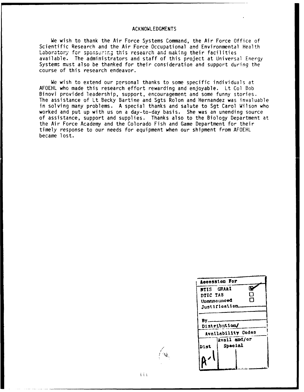#### ACKNOWLEDGMENTS

We wish to thank the Air Force Systems Command, the Air Force Office of Scientific Research and the Air Force Occupational and Environmental Health Laboratory for sponsoring this research and making their facilities available. The administrators and staff of this project at Universal Energy Systems must also be thanked for their consideration and support during the course of this research endeavor.

We wish to extend our personal thanks to some specific individuals at AFOEHL who made this research effort rewarding and enjoyable. Lt Col Bob Binovi provided leadership, support, encouragement and some funny stories. The assistance of Lt Becky Bartine and Sgts Rolon and Hernandez was invaluable in solving many problems. A special thanks and salute to Sgt Carol Wilson who worked and put up with us on a day-to-day basis. She was an unending source of assistance, support and supplies. Thanks also to the Biology Department at the Air Force Academy and the Colorado Fish and Game Department for their timely response to our needs for equipment when our shipment from AFOEHL became lost.

|                       | Accession For                       |   |
|-----------------------|-------------------------------------|---|
| <b>NTIS GRA&amp;I</b> |                                     | œ |
| DTIC TAB              |                                     | П |
| Unannounced           |                                     |   |
|                       | Justification                       |   |
|                       | Distribution/<br>Availability Codes |   |
|                       | Avail and/or                        |   |
| Dist                  | Special                             |   |
|                       |                                     |   |

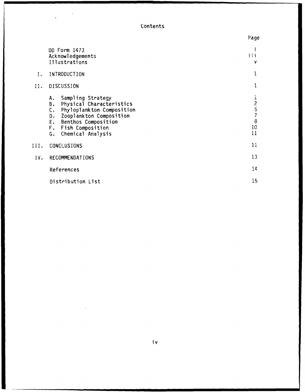Contents

 $\frac{1}{2} \left( \frac{1}{2} \right)$  ,  $\frac{1}{2} \left( \frac{1}{2} \right)$ 

|      |                                                                                                                                                                                                                  | Page                           |
|------|------------------------------------------------------------------------------------------------------------------------------------------------------------------------------------------------------------------|--------------------------------|
|      | 00 Form 1473<br>Acknowledgements<br><b>Illustrations</b>                                                                                                                                                         | iii<br>v                       |
| Ι.   | INTRODUCTION                                                                                                                                                                                                     | 1                              |
| II.  | <b>DISCUSSION</b>                                                                                                                                                                                                |                                |
|      | Sampling Strategy<br>Α.<br>B.<br>Physical Characteristics<br>Phyloplankton Composition<br>c.<br><b>Zooplankton Composition</b><br>D.<br>E. Benthos Composition<br>F. Fish Composition<br>Chemical Analysis<br>G. | $\frac{1}{2}$<br>8<br>10<br>11 |
| III. | CONCLUSIONS                                                                                                                                                                                                      | 11                             |
| IV.  | RECOMMENDATIONS                                                                                                                                                                                                  | 13                             |
|      | References                                                                                                                                                                                                       | 14                             |
|      | Distribution List                                                                                                                                                                                                | 15                             |

 $\Delta \sim 20$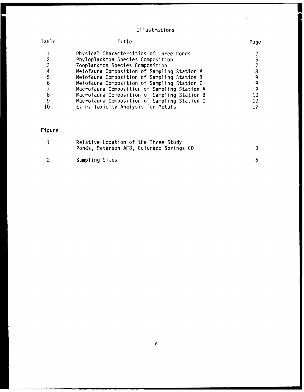# Illustrations

| Table | Title                                        | Page |
|-------|----------------------------------------------|------|
|       | Physical Charactersitics of Three Ponds      |      |
|       | Phyloplankton Species Composition            |      |
|       | Zooplankton Species Composition              |      |
|       | Meiofauna Composition of Sampling Station A  |      |
|       | Meiofauna Composition of Sampling Station B  |      |
| 6     | Meiofauna Composition of Sampling Station C  |      |
|       | Macrofauna Composition of Sampling Station A | Q    |
| 8     | Macrofauna Composition of Sampling Station B | 10   |
| 9     | Macrofauna Composition of Sampling Station C | 10   |
| 10    | E. P. Toxicity Analysis for Metals           |      |

# Figure

| Relative Location of the Three Study<br>Ponds, Peterson AFB, Colorado Springs CO |  |
|----------------------------------------------------------------------------------|--|
| Sampling Sites                                                                   |  |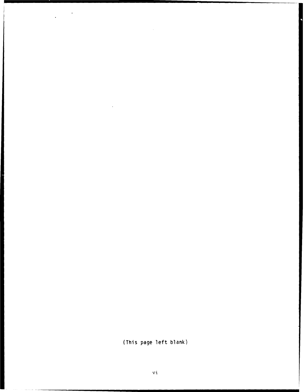(This page left blank)

 $\ddot{\phantom{0}}$ 

 $\ddot{\phantom{a}}$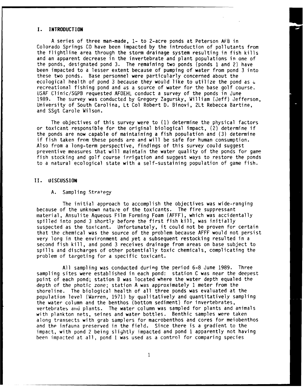#### **I. INTRODUCTION**

A series of three man-made, 1- to 2-acre ponds at Peterson AFB in Colorado Springs CO have been impacted by the introduction of pollutants from the flightline area through the storm drainage system resulting in fish kills and an apparent decrease in the invertebrate and plant populations in one of the ponds, designated pond 3. The remaining two ponds (ponds 1 and 2) have been impacted to a lesser extent because of pumping of water from pond 3 into these two ponds. Base personnel were particularly concerned about the ecological health of pond 3 because they would like to utilize the pond as i recreational fishing pond and as a source of water for the base golf course. USAF Clinic/SGPB requested AFOEHL conduct a survey of the ponds in June 1989. The survey was conducted by Gregory Zagursky, William (Jeff) Jefferson, University of South Carolina, Lt Col Robert **D.** Binovi, 2Lt Rebecca Bartine, and SSgt Carole Wilson.

**U**

The objectives of this survey were to (1) determine the physical factors or toxicant responsible for the original biological impact, (2) determine if the ponds are now capable of maintaining a fish population and (3) determine if fish taken from these ponds are and will be safe for human consumption. Also from a long-term perspective, findings of this survey could suggest preventive measures that will maintain the water quality of the ponds for game fish stocking and golf course irrigation and suggest ways to restore the ponds to a natural ecological state with a self-sustaining population of game fish.

#### **II. OISCUSSION**

#### A. Sampling Strategy

The initial approach to accomplish the objectives was wide-ranging because of the unknown nature of the toxicants. The fire suppressant material, Ansulite Aqueous Film Forming Foam (AFFF), which was accidentally spilled into pond 3 shortly before the first fish kill, was initially suspected as the toxicant. Unfortunately, it could not be proven for certain that the chemical was the source of the problem because AFFF would not persist very long in the environment and yet a subsequent restocking resulted in a second fish kill, and pond 3 receives drainage from areas on base subject to spills and discharges of other potentially toxic chemicals, complicating the problem of targeting for a specific toxicant.

All sampling was conducted during the period 6-8 June 1989. Three sampling sites were established in each pond: station C was near the deepest point of each pond; station B was located where the water depth equaled the depth of the photic zone; station A was approximately 1 meter from the shoreline. The biological health of all three ponds was evaluated at the population level (Warren, 1971) by qualitatively and quantitatively sampling the water column and the benthos (bottom sediment) for invertebrates, vertebrates and plants. The water column was sampled for plants and animals with plankton nets, seines and water bottles. Benthic samples were taken along transects with grab samplers for macrobenthos and cores for meiobenthos and the infauna preserved in the field. Since there is a gradient to the impact, with pond 2 being slightly impacted and pond 1 apparently not having been impacted at all, pond **1** was used as a control for comparing species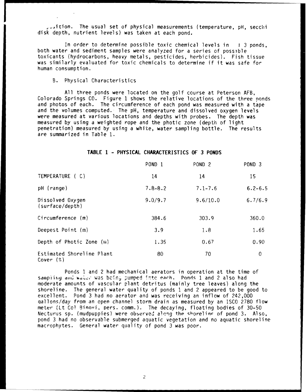...ition. The usual set of physical measurements (temperature, pH, secchi disk depth, nutrient levels) was taken at each pond.

In order to determine possible toxic chemical levels in  $\pm$  3 ponds, both water and sediment samples were analyzed for a series of possible toxicants (hydrocarbons, heavy metals, pesticides, herbicides). Fish tissue was similarly evaluated for toxic chemicals to determine if it was safe for human consumption.

#### B. Physical Characteristics

All three ponds were located on the golf course at Peterson AFB, Colorado Springs CO. Figure 1 shows the relative locations of the three ponds and photos of each. The circumference of each pond was measured with a tape and the volumes computed. The pH, temperature and dissolved oxygen levels were measured at various locations and depths with probes. The depth was measured by using a weighted rope and the photic zone (depth of light penetration) measured by using a white, water sampling bottle. The results are summarized in Table 1.

|                                           | POND <sub>1</sub> | POND <sub>2</sub> | POND <sub>3</sub> |
|-------------------------------------------|-------------------|-------------------|-------------------|
| TEMPERATURE ( C)                          | 14                | 14                | 15                |
| pH (range)                                | $7.8 - 8.2$       | $7.1 - 7.6$       | $6.2 - 6.5$       |
| Dissolved Oxygen<br>(surface/depth)       | 9.0/9.7           | 9.6/10.0          | 6.7/6.9           |
| Circumference (m)                         | 384.6             | 303.9             | 360.0             |
| Deepest Point (m)                         | 3.9               | 1.8               | 1.65              |
| Depth of Photic Zone (m)                  | 1.35              | 0.67              | 0.90              |
| Estimated Shoreline Plant<br>Cover $(\%)$ | 80                | 70                | 0                 |

# **TABLE 1 - PHYSICAL CHARACTERISTICS OF 3 PONDS**

Ponds **I** and 2 had mechanical aerators in operation at the time of sampling and water was being pumped inte each. Ponds 1 and 2 also had moderate amounts of vascular plant detritus (mainly tree leaves) along the shoreline. The general water quality of ponds **I** and 2 appeared to be good to excellent. Pond 3 had no aerator and was receiving an inflow of 242,000 qallons/day from an open channel storm drain as measured by an ISCO 2780 flow meter (Lt Co! Binovi, pers. comm.). The decaying, floating bodies of 30-50 Necturus sp. (mudpuppies) were observed along the shoreline of pond 3. Also, pond 3 had no observable submerged aquatic vegetation and no aquatic shoreline macrophytes. General water quality of pond 3 was poor.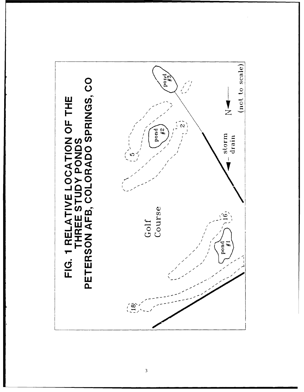

 $\overline{3}$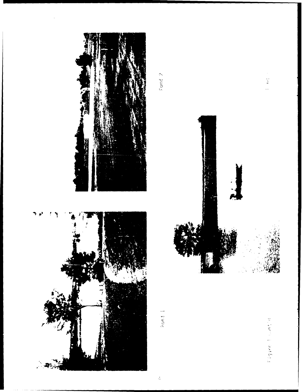



Pond<sub>1</sub>

 $F$ ond  $2$ 



Figure 1 suntin

 $\frac{1}{2}$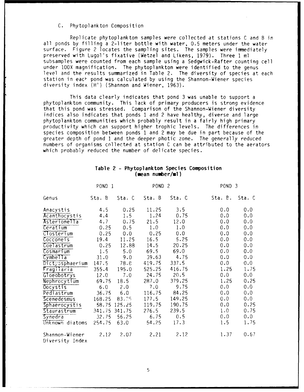#### **C.** Phytoplankton Composition

Replicate phytoplankton samples were collected at stations C and B in all ponds by filling a 2-liter bottle with water, 0.5 meters under the water surface. Figure 2 locates the sampling sites. The samples were immediately preserved with Lugol's fixative (Wetzel and Likens, 1979). Three **I** ml subsamples were counted from each sample using a Sedgwick-Rafter counting cell under IOOX magnification. The phytoplankton were identified to the genus level and the results summarized in Table 2. The diversity of species at each station in each pond was calculated by using the Shannon-Wiener species diversity index (H') (Shannon and Wiener, 1963).

This data clearly indicates that pond 3 was unable to support a phytoplankton community. This lack of primary producers is strong evidence that this pond was stressed. Comparison of the Shannon-Wiener diversity indices also indicates that ponds **1** and 2 have healthy, diverse and large phytoplankton communities which probably result in a fairly high primary productivity which can support higher trophic levels. The differences in species composition between ponds **1** and 2 may be due in part because of the greater depth of pond **I** and the deeper photic zone. The generally reduced numbers of organisms collected at station C can be attributed to the aerators which probably reduced the number of delicate species.

|                                   | POND 1 |               | POND <sub>2</sub> |        | POND <sub>3</sub> |        |
|-----------------------------------|--------|---------------|-------------------|--------|-------------------|--------|
| Genus                             | Sta. B | Sta. C        | Sta. B            | Sta. C | Sta. B.           | Sta. C |
| Anacystis                         | 4.5    | 0.25          | 11.25             | 3.5    | 0.0               | 0.0    |
| Acanthocystis                     | 4.4    | 1.5           | 1.24              | 0.75   | 0.0               | 0.0    |
| Asterionella                      | 4.7    | 0.75          | 21.5              | 12.0   | 0.0               | 0.0    |
| Ceratium                          | 0.25   | 0.5           | 1.0               | 1.0    | 0.0               | 0.0    |
| Closterium                        | 0.25   | 0.0           | 0.25              | 0.0    | 0.0               | 0.0    |
| Cocconeis                         | 19.4   | 11.25         | 16.5              | 5.25   | 0.0               | 0.0    |
| Coelastrum                        | 0.25   | 12.88         | 14.5              | 20.25  | 0.0               | 0.0    |
| Cosmarium                         | 1.5    | 5.0           | 69.5              | 69.0   | 0.0               | 0.0    |
| $Cymb$ ella                       | 31.0   | 9.0           | 39.63             | 4.75   | 0.0               | 0.0    |
| Dictyosphaerium                   | 147.5  | 78.8          | 419.75            | 337.5  | 0.0               | 0.0    |
| Fragilaria                        | 355.4  | 195.0         | 525.25            | 416.75 | 1.25              | 1.75   |
| Gloeobotrys                       | 12.0   | 7.0           | 24.75             | 20.5   | 0.0               | 0.0    |
| Nephrocytium                      | 69.75  | 18.5          | 287.0             | 379.25 | 1.25              | 0.25   |
| Docystis                          | 6.0    | 2.0           | 7.0               | 9.75   | 0.0               | 0.0    |
| Pediastrum                        | 36.75  | 6.0           | 116.75            | 84.25  | 0.0               | 0.0    |
| <b>Scenedesmus</b>                | 168.25 | 83.25         | 177.5             | 149.25 | 0.0               | 0.0    |
| Sphaerocystis                     | 58.75  | 125.25        | 119.75            | 190.75 | 0.0               | 0.25   |
| Staurastrum                       |        | 341.75 341.75 | 276.5             | 239.5  | 1.0               | 0.75   |
| Synedra                           | 32.75  | 56.25         | 6.75              | 0.5    | 0.0               | 0.0    |
| Unknown diatoms                   | 254.75 | 63.0          | 54.25             | 17.3   | 1.5               | 1.75   |
| Shannon-Wiener<br>Diversity Index | 2.12   | 2.07          | 2.21              | 2.12   | 1.37              | 0.67   |

# **Table 2 - Phytoplankton Species Composition** (mean number/ml)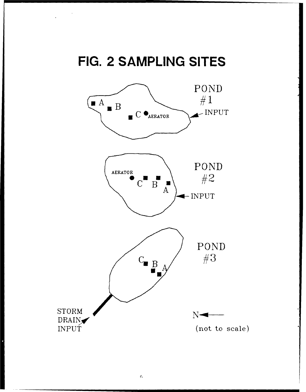# FIG. 2 SAMPLING SITES

 $\frac{1}{2} \left( \frac{1}{2} \right)^{2}$ 

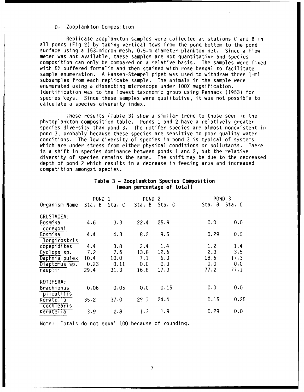#### **D.** Zooplankton Composition

Replicate zooplankton samples were collected at stations C ard B in all ponds (Fig 2) by taking vertical tows from the pond bottom to the pond surface using a 153-micron mesh, 0.5-m diameter plankton net. Since a flow meter was not available, these samples are not quantitative and species composition can only be compared on a relative basis. The samples were fixed with 5% buffered formalin and then stained with rose bengal to facilitate sample enumeration. A Hansen-Stempel pipet was used to withdraw three 1-ml subsamples from each replicate sample. The animals in the sample were enumerated using a dissecting microscope under 1OOX magnification. Identification was to the lowest taxonomic group using Pennack (1953) for species keys. Since these samples were qualitative, it was not possible to calculate a species diversity index.

These results (Table 3) show a similar trend to those seen in the phytoplankton composition table. Ponds 1 and 2 have a relatively greater species diversity than pond 3. The rotifer species are almost nonexistent in pond 3, probably because these species are sensitive to poor quality water conditions. The low diversity of species in pond 3 is typical of systems which are under stress from either physical conditions or pollutants. There is a shift in species dominance between ponds 1 and 2, but the relative diversity of species remains the same. The shift may be due to the decreased depth of pond 2 which results in a decrease in feeding arca and increased competition amongst species.

|                   | POND   | 1      | POND <sub>2</sub> |        | POND <sub>3</sub> |        |
|-------------------|--------|--------|-------------------|--------|-------------------|--------|
| Organism Name     | Sta. B | Sta. C | Sta. B            | Sta. C | Sta. B            | Sta. C |
| CRUSTACEA:        |        |        |                   |        |                   |        |
| Bosmina           | 4.6    | 3.3    | 22.4              | 25.9   | 0.0               | 0.0    |
| coregoni          |        |        |                   |        |                   |        |
| <b>Bosmina</b>    | 4.4    | 4.3    | 8.2               | 9.5    | 0.29              | 0.5    |
| Tongirostris      |        |        |                   |        |                   |        |
| copepidites       | 4.4    | 3.8    | 2.4               | 1.4    | 1.2               | 1.4    |
| Cyclops sp.       | 7.2    | 7.6    | 13.8              | 12.6   | 2.3               | 3.5    |
| Daphnia pulex     | 10.4   | 10.0   | 7.1               | 6.3    | 18.6              | 17.3   |
| Diaptomus sp.     | 0.23   | 0.11   | 0.0               | 0.3    | 0.0               | 0.0    |
| nauplii           | 29.4   | 31.3   | 16.8              | 17.3   | 77.2              | 77.1   |
| ROTIFERA:         |        |        |                   |        |                   |        |
| <b>Brachionus</b> | 0.06   | 0.05   | 0.0               | 0.15   | 0.0               | 0.0    |
| plicatilis        |        |        |                   |        |                   |        |
| Keratella         | 35.2   | 37.0   | 29.7              | 24.4   | 0.15              | 0.25   |
| cochlearis        |        |        |                   |        |                   |        |
| Keratella         | 3.9    | 2.8    | 1.3               | 1.9    | 0.29              | 0.0    |

# **Table 3 - Zooplankton Species Composition (mean percentage of total)**

Note: Totals do not equal 100 because of rounding.

**7**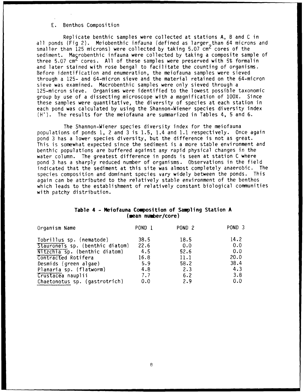#### E. Benthos Composition

Replicate benthic samples were collected at stations A, B and C in all ponds (Fig 2). Meiobenthic infauna (defined as larger than 64 microns and smaller than 125 microns) were collected by taking  $5.07 \text{ cm}^2$  cores of the sediment. Magrobenthic infauna were collected by taking a composite sample of three  $5.07 \text{ cm}^2$  cores. All of these samples were preserved with 5% formalin and later stained with rose bengal to facilitate the counting of organisms. Before identification and enumeration, the meiofauna samples were sieved through a 125- and 64-micron sieve and the material retained on the 64-micron sieve was examined. Macrobenthic samples were only sieved through a 125-micron sieve. Organisms were identified to the lowest possible taxonomic group by use of a dissecting microscope with a magnification of lOOX. Since these samples were quantitative, the diversity of species at each station in each pond was calculated by using the Shannon-Wiener species diversity index (H'). The results for the meiofauna are summarized in Tables 4, 5 and 6.

The Shannon-Wiener species diversity index for the meiofauna populations of ponds 1, 2 and 3 is 1.5, 1.4 and 1.1 respectively. Once again pond 3 has a lower species diversity, but the difference is not as great. This is somewhat expected since the sediment is a more stable environment and benthic populations are buffered against any rapid physical changes in the water column. The greatest difference in ponds is seen at station C where pond 3 has a sharply reduced number of organisms. Observations in the field indicated that the sediment at this site was almost completely anaerobic. The species composition and dominant species vary widely between the ponds. This again can be attributed to the relatively stable environment of the benthos which leads to the establishment of relatively constant biological communities with patchy distribution.

## Table 4 - Meiofauna Composition of Sampling Station A **(mean nuber/core)**

| Organism Name                   | POND <sub>1</sub> | POND <sub>2</sub> | POND <sub>3</sub> |
|---------------------------------|-------------------|-------------------|-------------------|
| Tobrillus sp. (nematode)        | 38.5              | 18.5              | 14.2              |
| Stauroneis sp. (benthic diatom) | 22.6              | 0.0               | 0.0               |
| Nitzchia sp. (benthic diatom)   | 4.5               | 52.6              | 0.0               |
| Contracted Rotifera             | 16.8              | 11.1              | 20.0              |
| Desmids (green algae)           | 5.9               | 58.2              | 38.4              |
| Planaria sp. (flatworm)         | 4.8               | 2.3               | 4.3               |
| Crustacea nauplii               | 7.7               | 6.2               | 3.8               |
| Chaetonotus sp. (gastrotrich)   | 0.0               | 2.9               | 0.0               |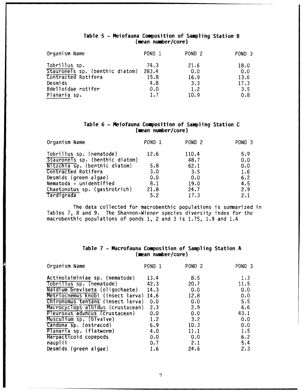# **Table 5 - Meiofauna Composition of Sampling Station B (mean number/core)**

| Organism Name                   | POND <sub>1</sub> | POND <sub>2</sub> | POND <sub>3</sub> |
|---------------------------------|-------------------|-------------------|-------------------|
| Tobrillus sp.                   | 74.3              | 21.6              | 18.0              |
| Stauroneis sp. (benthic diatom) | 283.4             | 0.0               | 0.0               |
| Contracted Rotifera             | 15.8              | 16.9              | 13.6              |
| Desmids                         | 4.8               | 3.3               | 17.3              |
| Bdelloidae rotifer              | 0.0               | 1.2               | 3.5               |
| Planaria sp.                    | 1.7               | 10.9              | 0.8               |

# **Table 6 - Meiofauna Composition of Sampling Station C (mean number/core)**

| Organism Name                   | POND <sub>1</sub> | POND <sub>2</sub> | POND <sub>3</sub> |
|---------------------------------|-------------------|-------------------|-------------------|
| Tobrillus sp. (nematode)        | 12.6              | 110.4             | 5.9               |
| Stauroneis sp. (benthic diatom) |                   | 48.7              | 0.0               |
| Nitzchia sp. (benthic diatom)   | 5.8               | 62.1              | 0.0               |
| Contracted Rotifera             | 3.0               | 3.5               | 1.6               |
| Desmids (green algae)           | 0.0               | 0.0               | 6.2               |
| Nematoda - unidentified         | 8.1               | 19.0              | 4.5               |
| Chaetonotus sp. (gastrotrich)   | 21.8              | 24.7              | 2.9               |
| Tardigrada                      | 5.2               | 17.3              | 2.1               |

The data collected for macrobenthic populations is summarized in Tables 7, 8 and 9. The Shannon-Wiener species diversity index for the macrobenthic populations of ponds **1,** 2 and 3 is 1.75, 1.9 and 1.4

# **Table 7 - Macrofauna Composition of Sampling Station A (mean number/core)**

| Organism Name                          | POND 1 | POND <sub>2</sub> | POND <sub>3</sub> |
|----------------------------------------|--------|-------------------|-------------------|
| Actinolaiminiae sp. (nematode)         | 13.4   | 8.5               | 1.3               |
| Tobrillus sp. (nematode)               | 42.3   | 20.7              | 11.5              |
| Naidium breviseta (oligochaete)        | 14.3   | 0.0               | 0.0               |
| Metriocnemus knobi (insect larva) 14.6 |        | 12.8              | 0.0               |
| Chironomus tentans (insect larva)      | 0.0    | 0.0               | 5.5               |
| Macrocyclops albidus (crustacean)      | 2.3    | 2.9               | 6.6               |
| Pleuroxus aduncus (Crustacean)         | 0.0    | 0.0               | 43.1              |
| Musculium sp. (bivalve)                | 1.2    | 3.2               | 0.0               |
| Candona sp. (ostracod)                 | 6.9    | 10.3              | 0.0               |
| Planaria sp. (flatworm)                | 4.0    | 11.1              | 1.5               |
| Harpacticoid copepods                  | 0.0    | 0.0               | 6.2               |
| nauplii                                | 0.7    | 2.1               | 5.4               |
| Desmids (green algae)                  | 1.6    | 24.6              | 2.3               |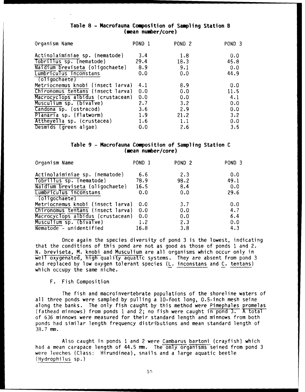# **Table 8 - Macrofauna Composition of Sampling Station B (mean nuber/core)**

| Organism Name                     | POND <sub>1</sub> | POND <sub>2</sub> | POND <sub>3</sub> |
|-----------------------------------|-------------------|-------------------|-------------------|
| Actinolaiminiae sp. (nematode)    | 3.4               | 1.8               | 0.0               |
| Tobrillus sp. (nematode)          | 29.4              | 18.3              | 45.8              |
| Naidium breviseta (oligochaete)   | 8.9               | 9.1               | 0.0               |
| Lumbriculus inconstans            | 0.0               | 0.0               | 44.9              |
| (oligochaete)                     |                   |                   |                   |
| Metriocnemus knobi (insect larva) | 4.1               | 8.9               | 0.0               |
| Chironomus tentans (insect larva) | 0.0               | 0.0               | 11.5              |
| Macrocyclops albidus (crustacean) | 0.0               | 0.0               | 4.1               |
| Musculium sp. (bivalve)           | 2.7               | 3.2               | 0.0               |
| Candona sp. (ostracod)            | 3.6               | 2.9               | 0.0               |
| Planaria sp. (flatworm)           | 1.9               | 21.2              | 3.2               |
| Attheyella sp. (crustacea)        | 1.6               | 1.1               | 0.0               |
| Desmids (green algae)             | 0.0               | 2.6               | 3.5               |

## **Table 9 - Macrofauna Composition of Sampling Station C (man number/core)**

| Organism Name                     | POND <sub>1</sub> | POND <sub>2</sub> | POND <sub>3</sub> |
|-----------------------------------|-------------------|-------------------|-------------------|
| Actinolaiminiae sp. (nematode)    | 6.6               | 2.3               | 0.0               |
| Tobrillus sp. (nematode)          | 78.9              | 98.2              | 49.1              |
| Naidium breviseta (oligochaete)   | 16.5              | 8.4               | 0.0               |
| Lumbriculus inconstans            | 0.0               | 0.0               | 29.6              |
| (oligochaete)                     |                   |                   |                   |
| Metriocnemus knobi (insect larva) | 0.0               | 3.7               | 0.0               |
| Chironomus tentans (insect larva) | 0.0               | 0.0               | 4.7               |
| Macrocyclops albidus (crustacean) | 0.0               | 0.0               | 6.4               |
| Musculium sp. (bivalve)           | 1.2               | 2.3               | 0.0               |
| Nematode - unidentified           | 16.8              | 3.8               | 4.3               |

Once again the species diversity of pond 3 is the lowest, indicating that the conditions of this pond are not as good as those of ponds **I** and 2. N. breviseta, M. knobi and Musculium are all organisms which occur only in  $w$ ell oxygenated, high quality aquatic systems. They are absent from pond 3 and replaced by low oxygen tolerant species (L. inconstans and C. tentans) which occupy the same niche.

## F. Fish Composition

The fish and macroinvertebrate populations of the shoreline waters of all three ponds were sampled by pulling a 10-foot long, 0.5-inch mesh seine along the banks. The only fish caught by this method were Pimephales promelas (fathead minnows) from ponds **1** and 2; no fish were caught in pond 3. A total of 636 minnows were measured for their standard length and minnows from both ponds had similar length frequency distributions and mean standard length of 38.7 mm.

Also caught in ponds **1** and 2 were Cambarus bartoni (crayfish) which had a mean carapace length of 44.5 mm. The only organisms seined from pond 3 were leeches (Class: Hirundinea), snails and a large aquatic beetle (Hydrophilus sp.)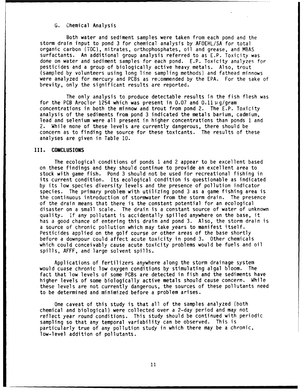#### G. Chemical Analysis

Both water and sediment samples were taken from each pond and the storm drain input to pond 3 for chemical analysis by AFOEHL/SA for total organic carbon (TOC), nitrates, orthophosphates, oil and grease, and MBAS surfactants. An additional group analysis referred to as E.P. Toxicity was done on water and sediment samples for each pond. E.P. Toxicity analyzes for pesticides and a group of biologically active heavy metals. Also, trout (sampled by volunteers using long line sampling methods) and fathead minnows were analyzed for mercury and PCBs as recommended by the EPA. For the sake of brevity, only the significant results are reported.

The only analysis to produce detectable results in the fish flesh was for the PCB Aroclor 1254 which was present in 0.07 and  $0.11 \mu$  g/gram concentrations in both the minnow and trout from pond 2. The E.P. Toxicity analysis of the sediments from pond 3 indicated the metals barium, cadmium, lead and selenium were all present in higher concentrations than ponds **1** and 2. While none of these levels are currently dangerous, there should be concern as to finding the source for these toxicants. The results of these analyses are given in Table 10.

#### **III. CONCLUSIONS**

The ecological conditions of ponds **1** and 2 appear to be excellent based on these findings and they should continue to provide an excellent area to stock with game fish. Pond 3 should not be used for recreational fishing in its current condition. Its ecological condition is questionable as indicated by its low species diversity levels and the presence of pollution indicator species. The primary problem with utilizing pond 3 as a game fishing area is the continuous introduction of stormwater from the storm drain. The presence of the drain means that there is the constant potential for an ecological disaster on a small scale. The drain is a constant source of water of unknown quality. If any pollutant is accidentally spilled anywhere on the base, it has a good chance of entering this drain and pond 3. Also, the storm drain is a source of chronic pollution which may take years to manifest itself. Pesticides applied on the golf course or other areas of the base shortly before a downpour could affect acute toxicity in pond 3. Other chemicals which could conceivably cause acute toxicity problems would be fuels and oil spills, AFFF, and large solvent spills.

Applications of fertilizers anywhere along the storm drainage system would cuase chronic low oxygen conditions by stimulating algal bloom. The fact that low levels of some PCBs are detected in fish and the sediments have higher levels of some biologically active metals should cause concern. While these levels are not currently dangerous, the sources of these pollutants need to be determined and minimized before a problem arises.

One caveat of this study is that all of the samples analyzed (both chemical and biological) were collected over a 2-day period and may not reflect year round conditions. This study should be continued with periodic sampling so that any temporal variability can be observed. This is particularly true of any pollution study in which there may be a chronic, low-level addition of pollutants.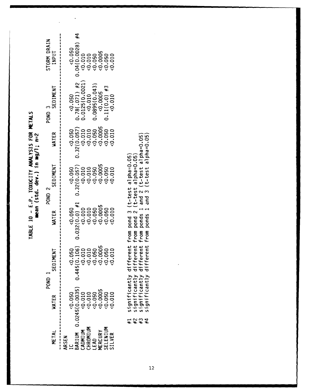TABLE 10 - E.P. TOXOCITY ANALYSIS FOR METALS<br>mean (std. dev.) in mg/l; n=2

|                                        |                                                                                                            | <b>POND</b>                                                                                               |                                                                                         | POND <sub>2</sub>                                  |       | POND <sub>3</sub>                                                                                                                                                                                                                                                 |                      |  |
|----------------------------------------|------------------------------------------------------------------------------------------------------------|-----------------------------------------------------------------------------------------------------------|-----------------------------------------------------------------------------------------|----------------------------------------------------|-------|-------------------------------------------------------------------------------------------------------------------------------------------------------------------------------------------------------------------------------------------------------------------|----------------------|--|
| METAL                                  | WATER                                                                                                      | SEDIME                                                                                                    | WATER                                                                                   | SEDIMENT                                           | WATER | SEDIMENT                                                                                                                                                                                                                                                          | STORM DRAIN<br>INPUT |  |
| ARSEN                                  |                                                                                                            |                                                                                                           |                                                                                         |                                                    |       | $(0.050)$<br>$(0.78(0.050)$<br>$(0.010)$<br>$(0.010)$<br>$(0.010)$<br>$(0.010)$<br>$(0.010)$<br>$(0.010)$<br>$(0.0005)$<br>$(0.0005)$<br>$(0.0005)$<br>$(0.0005)$<br>$(0.0005)$<br>$(0.0005)$<br>$(0.0005)$<br>$(0.050)$<br>$(0.050)$<br>$(0.0005)$<br>$(0.0005)$ |                      |  |
|                                        |                                                                                                            | 40.050                                                                                                    | 0.050                                                                                   | 0.050                                              |       |                                                                                                                                                                                                                                                                   |                      |  |
| <b>ARIUM</b>                           |                                                                                                            | $0.445(0.106)$<br>$0.010$<br>$0.010$<br>$0.010$<br>$0.010$<br>$0.010$<br>$0.0005$<br>$0.0005$<br>$0.0005$ |                                                                                         | 0.32(0.057)                                        |       |                                                                                                                                                                                                                                                                   | ¥.                   |  |
|                                        |                                                                                                            |                                                                                                           |                                                                                         | 40.010                                             |       |                                                                                                                                                                                                                                                                   |                      |  |
| CADMIUM<br>CHROMIUM<br>LEAD            |                                                                                                            |                                                                                                           | $\begin{array}{r} 0.032(0.0) \ *1 \ 0.010 \ 0.010 \ 0.010 \ 0.050 \ 0.0005 \end{array}$ | $\frac{40.010}{40.050}$<br>$\frac{40.050}{40.050}$ |       |                                                                                                                                                                                                                                                                   |                      |  |
|                                        |                                                                                                            |                                                                                                           |                                                                                         |                                                    |       |                                                                                                                                                                                                                                                                   |                      |  |
|                                        |                                                                                                            |                                                                                                           |                                                                                         |                                                    |       |                                                                                                                                                                                                                                                                   |                      |  |
| <b>MERCURY<br/>SELENIUM<br/>SILVER</b> |                                                                                                            |                                                                                                           | 0.050                                                                                   |                                                    |       |                                                                                                                                                                                                                                                                   |                      |  |
|                                        | $(0.0245(0.0035))$<br>$(0.0245(0.0035))$<br>$(0.010$<br>$(0.010)$<br>$(0.010)$<br>$(0.0005)$<br>$(0.0005)$ |                                                                                                           | $-0.010$                                                                                | 0.010                                              |       |                                                                                                                                                                                                                                                                   |                      |  |
|                                        |                                                                                                            |                                                                                                           |                                                                                         |                                                    |       |                                                                                                                                                                                                                                                                   |                      |  |
|                                        |                                                                                                            |                                                                                                           | $#1$ significantly different from pond 3 (t-test alpha=0.05)                            |                                                    |       |                                                                                                                                                                                                                                                                   |                      |  |

significantly different from pond 2 (t-test alpha=0.05)<br>significantly different from pond 2 (t-test alpha=0.05)<br>significantly different from ponds 1 and 2 (t-test alpha=0.05)<br>significantly different from ponds 1 and 3 (t-t

###<br>##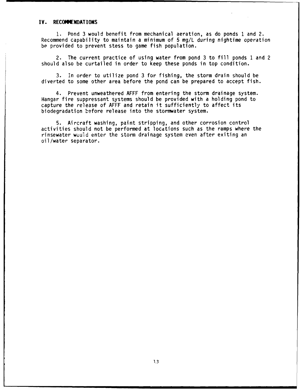## IV. RECOMMENDATIONS

**1.** Pond 3 would benefit from mechanical aeration, as do ponds 1 and 2. Recommend capability to maintain a minimum of 5 mg/L during nightime operation be provided to prevent stess to game fish population.

2. The current practice of using water from pond 3 to fill ponds 1 and 2 should also be curtailed in order to keep these ponds in top condition.

3. In order to utilize pond 3 for fishing, the storm drain should be diverted to some other area before the pond can be prepared to accept fish.

4. Prevent unweathered AFFF from entering the storm drainage system. Hangar fire suppressant systems should be provided with a holding pond to capture the release of AFFF and retain it sufficiently to affect its biodegradation tefore release into the stormwater system.

5. Aircraft washing, paint stripping, and other corrosion control activities should not be performed at locations such as the ramps where the rinsewater wouid enter the storm drainage system even after exiting an oil/water separator.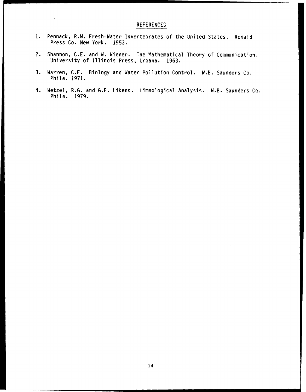# REFERENCES

**1.** Pennack, R.W. Fresh-Water Invertebrates of the United States. Ronald Press Co. New York. 1953.

 $\frac{1}{2} \left( \frac{1}{2} \right)^{2}$ 

- 2. Shannon, C.E. and W. Wiener. The Mathematical Theory of Communication. University of Illinois Press, Urbana. 1963.
- 3. Warren, C.E. Biology and Water Pollution Control. W.B. Saunders Co. Phila. 1971.
- 4. Wetzel, R.G. and G.E. Likens. Limnological Analysis. W.B. Saunders Co. Phila. 1979.